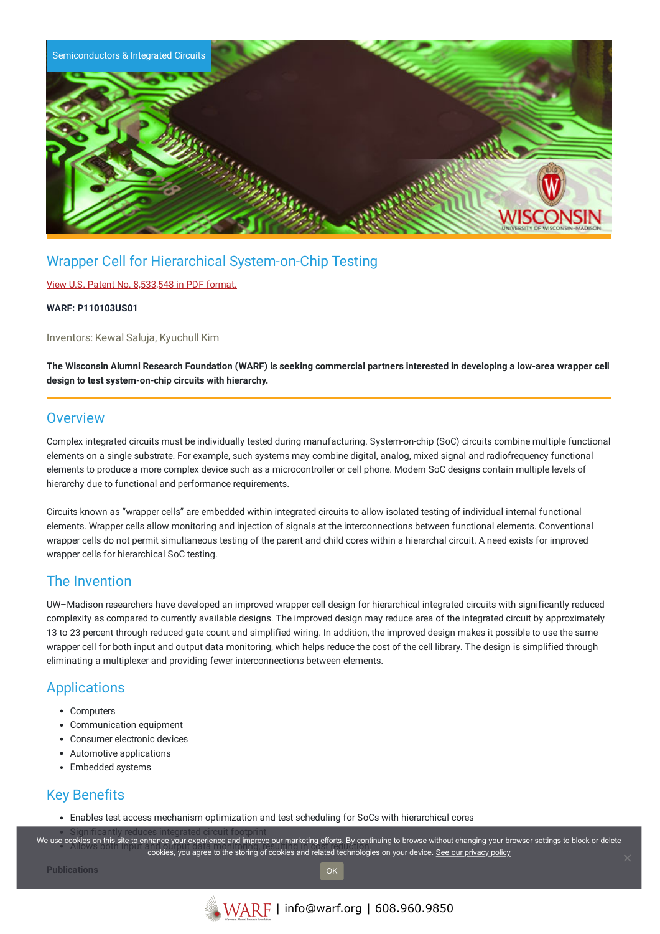

# Wrapper Cell for Hierarchical System-on-Chip Testing

#### View U.S. Patent No. [8,533,548](https://www.warf.org/wp-content/uploads/technologies/ipstatus/P110103US01.PDF) in PDF format.

#### **WARF: P110103US01**

Inventors: Kewal Saluja, Kyuchull Kim

The Wisconsin Alumni Research Foundation (WARF) is seeking commercial partners interested in developing a low-area wrapper cell **design to test system-on-chip circuits with hierarchy.**

### **Overview**

Complex integrated circuits must be individually tested during manufacturing. System-on-chip (SoC) circuits combine multiple functional elements on a single substrate. For example, such systems may combine digital, analog, mixed signal and radiofrequency functional elements to produce a more complex device such as a microcontroller or cell phone. Modern SoC designs contain multiple levels of hierarchy due to functional and performance requirements.

Circuits known as "wrapper cells" are embedded within integrated circuits to allow isolated testing of individual internal functional elements. Wrapper cells allow monitoring and injection of signals at the interconnections between functional elements. Conventional wrapper cells do not permit simultaneous testing of the parent and child cores within a hierarchal circuit. A need exists for improved wrapper cells for hierarchical SoC testing.

## The Invention

UW–Madison researchers have developed an improved wrapper cell design for hierarchical integrated circuits with significantly reduced complexity as compared to currently available designs. The improved design may reduce area of the integrated circuit by approximately 13 to 23 percent through reduced gate count and simplified wiring. In addition, the improved design makes it possible to use the same wrapper cell for both input and output data monitoring, which helps reduce the cost of the cell library. The design is simplified through eliminating a multiplexer and providing fewer interconnections between elements.

# **Applications**

- Computers
- Communication equipment
- Consumer electronic devices
- Automotive applications
- Embedded systems

## Key Benefits

Enables test access mechanism optimization and test scheduling for SoCs with hierarchical cores

we use cookies on this site to enhance your experience and improve our marketing efforts. By continuing to browse without changing your browser settings to block or delete

owdes on this site to emiance your experience and improve our maneting enore. By continuing to browse without changing your browse cookies, you agree to the storing of cookies and related technologies on your device. <u>See </u>

**Publications**

OK